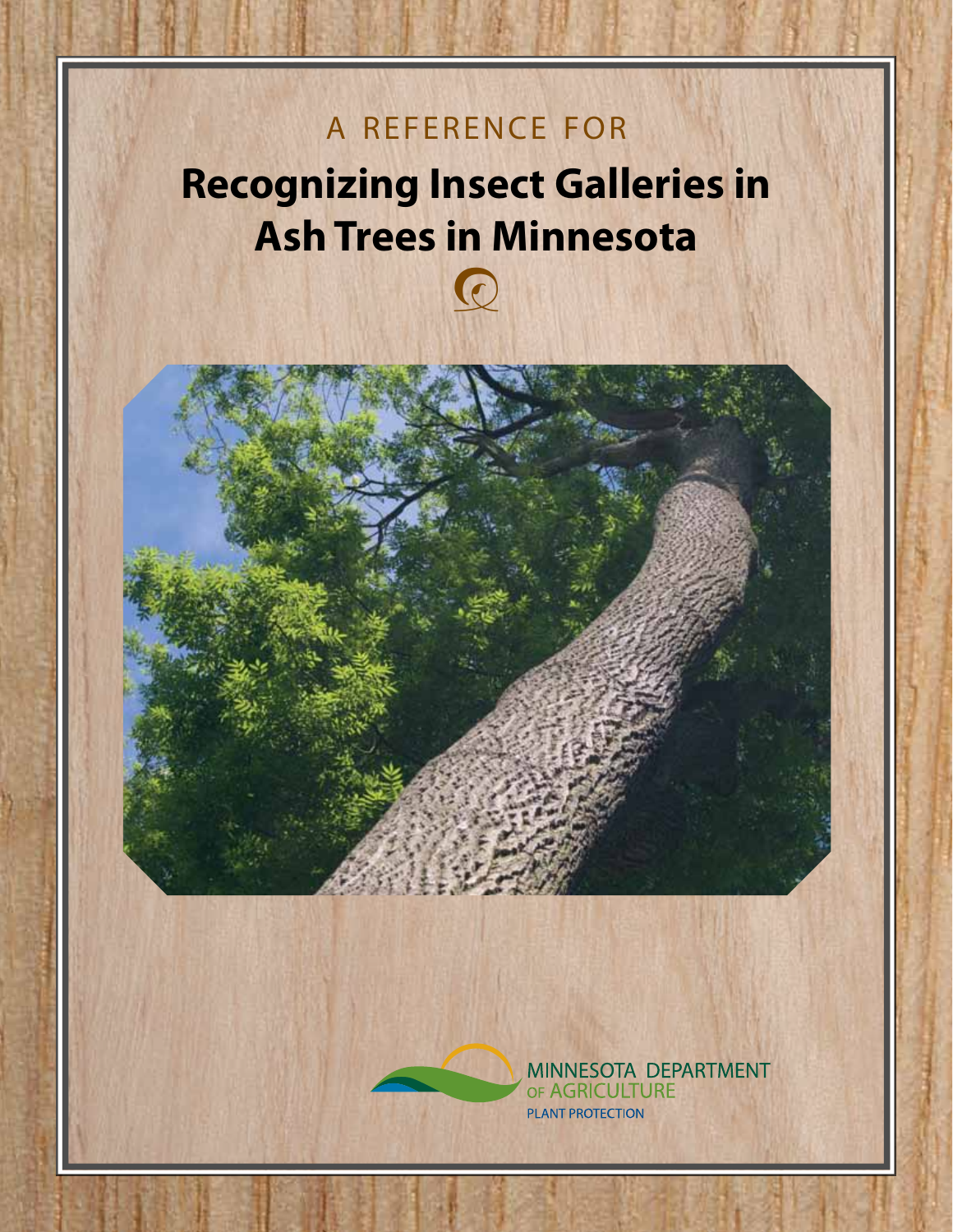## A REFERENCE FOR

## **Recognizing Insect Galleries in Ash Trees in Minnesota**

 $\odot$